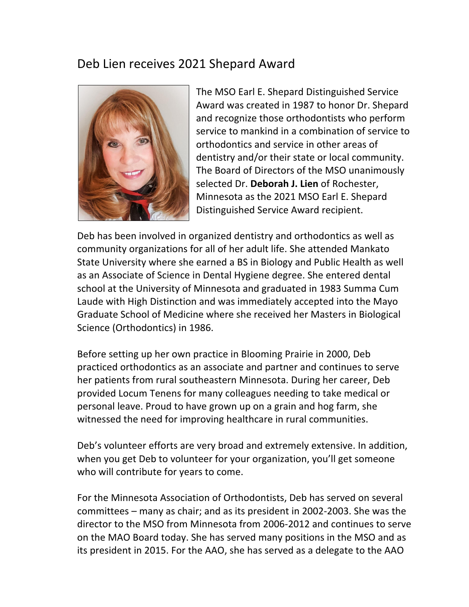## Deb Lien receives 2021 Shepard Award



The MSO Earl E. Shepard Distinguished Service Award was created in 1987 to honor Dr. Shepard and recognize those orthodontists who perform service to mankind in a combination of service to orthodontics and service in other areas of dentistry and/or their state or local community. The Board of Directors of the MSO unanimously selected Dr. Deborah J. Lien of Rochester, Minnesota as the 2021 MSO Earl E. Shepard Distinguished Service Award recipient.

Deb has been involved in organized dentistry and orthodontics as well as community organizations for all of her adult life. She attended Mankato State University where she earned a BS in Biology and Public Health as well as an Associate of Science in Dental Hygiene degree. She entered dental school at the University of Minnesota and graduated in 1983 Summa Cum Laude with High Distinction and was immediately accepted into the Mayo Graduate School of Medicine where she received her Masters in Biological Science (Orthodontics) in 1986.

Before setting up her own practice in Blooming Prairie in 2000, Deb practiced orthodontics as an associate and partner and continues to serve her patients from rural southeastern Minnesota. During her career, Deb provided Locum Tenens for many colleagues needing to take medical or personal leave. Proud to have grown up on a grain and hog farm, she witnessed the need for improving healthcare in rural communities.

Deb's volunteer efforts are very broad and extremely extensive. In addition, when you get Deb to volunteer for your organization, you'll get someone who will contribute for years to come.

For the Minnesota Association of Orthodontists, Deb has served on several committees  $-$  many as chair; and as its president in 2002-2003. She was the director to the MSO from Minnesota from 2006-2012 and continues to serve on the MAO Board today. She has served many positions in the MSO and as its president in 2015. For the AAO, she has served as a delegate to the AAO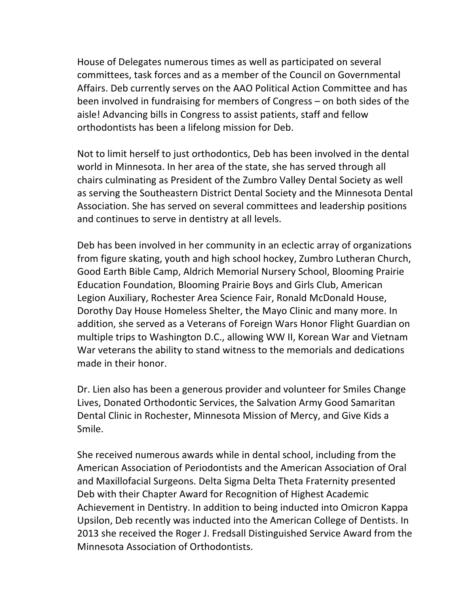House of Delegates numerous times as well as participated on several committees, task forces and as a member of the Council on Governmental Affairs. Deb currently serves on the AAO Political Action Committee and has been involved in fundraising for members of Congress  $-$  on both sides of the aisle! Advancing bills in Congress to assist patients, staff and fellow orthodontists has been a lifelong mission for Deb.

Not to limit herself to just orthodontics, Deb has been involved in the dental world in Minnesota. In her area of the state, she has served through all chairs culminating as President of the Zumbro Valley Dental Society as well as serving the Southeastern District Dental Society and the Minnesota Dental Association. She has served on several committees and leadership positions and continues to serve in dentistry at all levels.

Deb has been involved in her community in an eclectic array of organizations from figure skating, youth and high school hockey, Zumbro Lutheran Church, Good Earth Bible Camp, Aldrich Memorial Nursery School, Blooming Prairie Education Foundation, Blooming Prairie Boys and Girls Club, American Legion Auxiliary, Rochester Area Science Fair, Ronald McDonald House, Dorothy Day House Homeless Shelter, the Mayo Clinic and many more. In addition, she served as a Veterans of Foreign Wars Honor Flight Guardian on multiple trips to Washington D.C., allowing WW II, Korean War and Vietnam War veterans the ability to stand witness to the memorials and dedications made in their honor.

Dr. Lien also has been a generous provider and volunteer for Smiles Change Lives, Donated Orthodontic Services, the Salvation Army Good Samaritan Dental Clinic in Rochester, Minnesota Mission of Mercy, and Give Kids a Smile.

She received numerous awards while in dental school, including from the American Association of Periodontists and the American Association of Oral and Maxillofacial Surgeons. Delta Sigma Delta Theta Fraternity presented Deb with their Chapter Award for Recognition of Highest Academic Achievement in Dentistry. In addition to being inducted into Omicron Kappa Upsilon, Deb recently was inducted into the American College of Dentists. In 2013 she received the Roger J. Fredsall Distinguished Service Award from the Minnesota Association of Orthodontists.